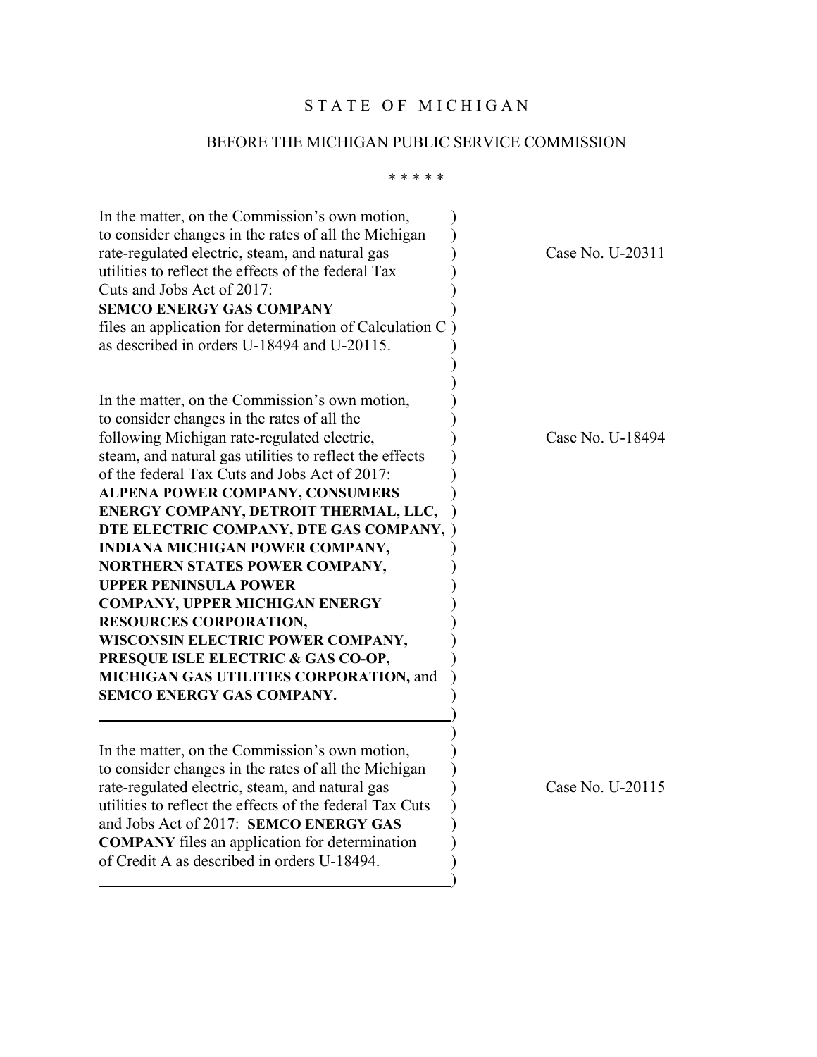## STATE OF MICHIGAN

## BEFORE THE MICHIGAN PUBLIC SERVICE COMMISSION

#### \* \* \* \* \*

| In the matter, on the Commission's own motion,<br>to consider changes in the rates of all the Michigan<br>rate-regulated electric, steam, and natural gas<br>utilities to reflect the effects of the federal Tax<br>Cuts and Jobs Act of 2017:<br><b>SEMCO ENERGY GAS COMPANY</b><br>files an application for determination of Calculation C                                                                                                                                                                                                                                                                                                                                                                            |  |
|-------------------------------------------------------------------------------------------------------------------------------------------------------------------------------------------------------------------------------------------------------------------------------------------------------------------------------------------------------------------------------------------------------------------------------------------------------------------------------------------------------------------------------------------------------------------------------------------------------------------------------------------------------------------------------------------------------------------------|--|
| as described in orders U-18494 and U-20115.                                                                                                                                                                                                                                                                                                                                                                                                                                                                                                                                                                                                                                                                             |  |
| In the matter, on the Commission's own motion,<br>to consider changes in the rates of all the<br>following Michigan rate-regulated electric,<br>steam, and natural gas utilities to reflect the effects<br>of the federal Tax Cuts and Jobs Act of 2017:<br><b>ALPENA POWER COMPANY, CONSUMERS</b><br>ENERGY COMPANY, DETROIT THERMAL, LLC,<br>DTE ELECTRIC COMPANY, DTE GAS COMPANY,<br>INDIANA MICHIGAN POWER COMPANY,<br>NORTHERN STATES POWER COMPANY,<br><b>UPPER PENINSULA POWER</b><br><b>COMPANY, UPPER MICHIGAN ENERGY</b><br><b>RESOURCES CORPORATION,</b><br>WISCONSIN ELECTRIC POWER COMPANY,<br>PRESQUE ISLE ELECTRIC & GAS CO-OP,<br>MICHIGAN GAS UTILITIES CORPORATION, and<br>SEMCO ENERGY GAS COMPANY. |  |
| In the matter, on the Commission's own motion,<br>to consider changes in the rates of all the Michigan<br>rate-regulated electric, steam, and natural gas<br>utilities to reflect the effects of the federal Tax Cuts<br>and Jobs Act of 2017: SEMCO ENERGY GAS<br><b>COMPANY</b> files an application for determination<br>of Credit A as described in orders U-18494.                                                                                                                                                                                                                                                                                                                                                 |  |

Case No. U-20311

Case No. U-18494

Case No. U-20115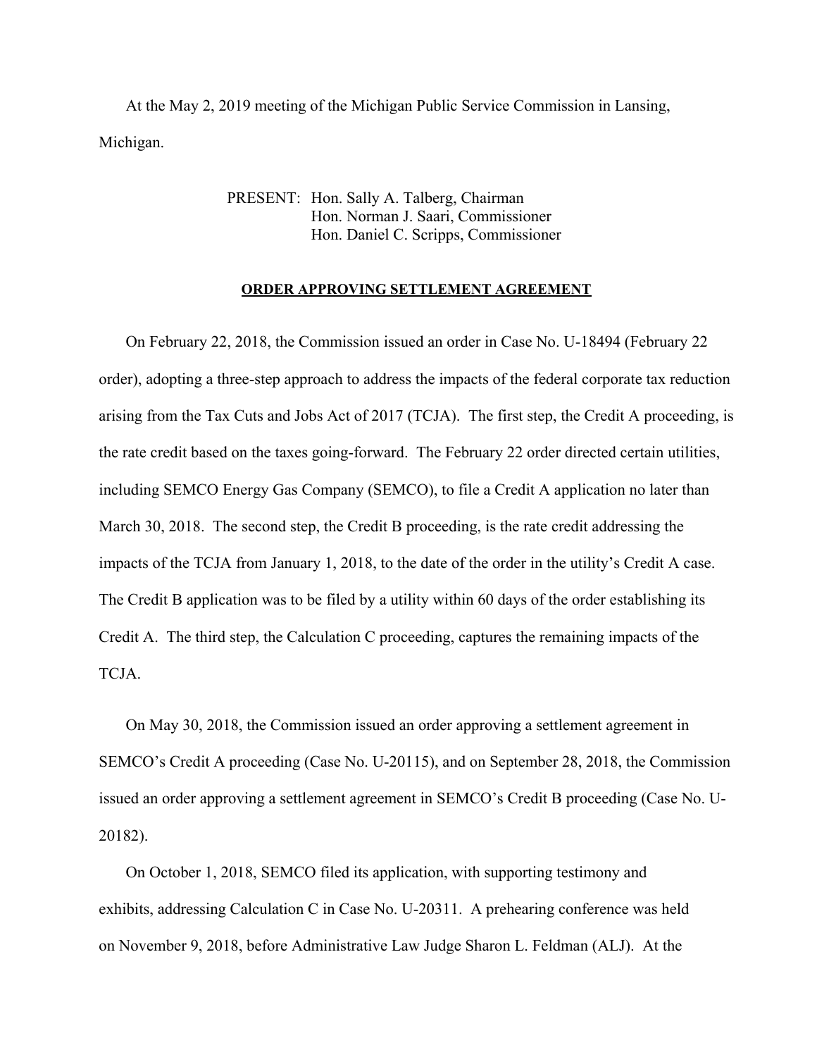At the May 2, 2019 meeting of the Michigan Public Service Commission in Lansing, Michigan.

> PRESENT: Hon. Sally A. Talberg, Chairman Hon. Norman J. Saari, Commissioner Hon. Daniel C. Scripps, Commissioner

#### **ORDER APPROVING SETTLEMENT AGREEMENT**

 On February 22, 2018, the Commission issued an order in Case No. U-18494 (February 22 order), adopting a three-step approach to address the impacts of the federal corporate tax reduction arising from the Tax Cuts and Jobs Act of 2017 (TCJA). The first step, the Credit A proceeding, is the rate credit based on the taxes going-forward. The February 22 order directed certain utilities, including SEMCO Energy Gas Company (SEMCO), to file a Credit A application no later than March 30, 2018. The second step, the Credit B proceeding, is the rate credit addressing the impacts of the TCJA from January 1, 2018, to the date of the order in the utility's Credit A case. The Credit B application was to be filed by a utility within 60 days of the order establishing its Credit A. The third step, the Calculation C proceeding, captures the remaining impacts of the TCJA.

 On May 30, 2018, the Commission issued an order approving a settlement agreement in SEMCO's Credit A proceeding (Case No. U-20115), and on September 28, 2018, the Commission issued an order approving a settlement agreement in SEMCO's Credit B proceeding (Case No. U-20182).

 On October 1, 2018, SEMCO filed its application, with supporting testimony and exhibits, addressing Calculation C in Case No. U-20311. A prehearing conference was held on November 9, 2018, before Administrative Law Judge Sharon L. Feldman (ALJ). At the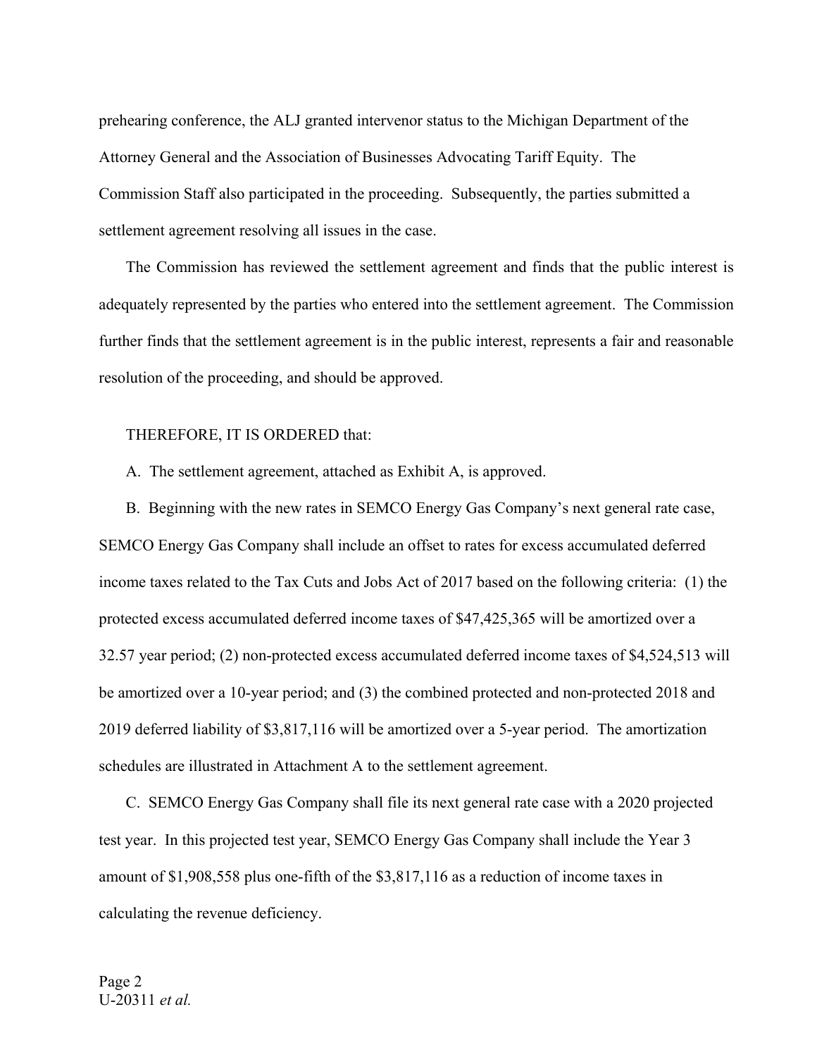prehearing conference, the ALJ granted intervenor status to the Michigan Department of the Attorney General and the Association of Businesses Advocating Tariff Equity. The Commission Staff also participated in the proceeding. Subsequently, the parties submitted a settlement agreement resolving all issues in the case.

 The Commission has reviewed the settlement agreement and finds that the public interest is adequately represented by the parties who entered into the settlement agreement. The Commission further finds that the settlement agreement is in the public interest, represents a fair and reasonable resolution of the proceeding, and should be approved.

#### THEREFORE, IT IS ORDERED that:

A. The settlement agreement, attached as Exhibit A, is approved.

 B. Beginning with the new rates in SEMCO Energy Gas Company's next general rate case, SEMCO Energy Gas Company shall include an offset to rates for excess accumulated deferred income taxes related to the Tax Cuts and Jobs Act of 2017 based on the following criteria: (1) the protected excess accumulated deferred income taxes of \$47,425,365 will be amortized over a 32.57 year period; (2) non-protected excess accumulated deferred income taxes of \$4,524,513 will be amortized over a 10-year period; and (3) the combined protected and non-protected 2018 and 2019 deferred liability of \$3,817,116 will be amortized over a 5-year period. The amortization schedules are illustrated in Attachment A to the settlement agreement.

 C. SEMCO Energy Gas Company shall file its next general rate case with a 2020 projected test year. In this projected test year, SEMCO Energy Gas Company shall include the Year 3 amount of \$1,908,558 plus one-fifth of the \$3,817,116 as a reduction of income taxes in calculating the revenue deficiency.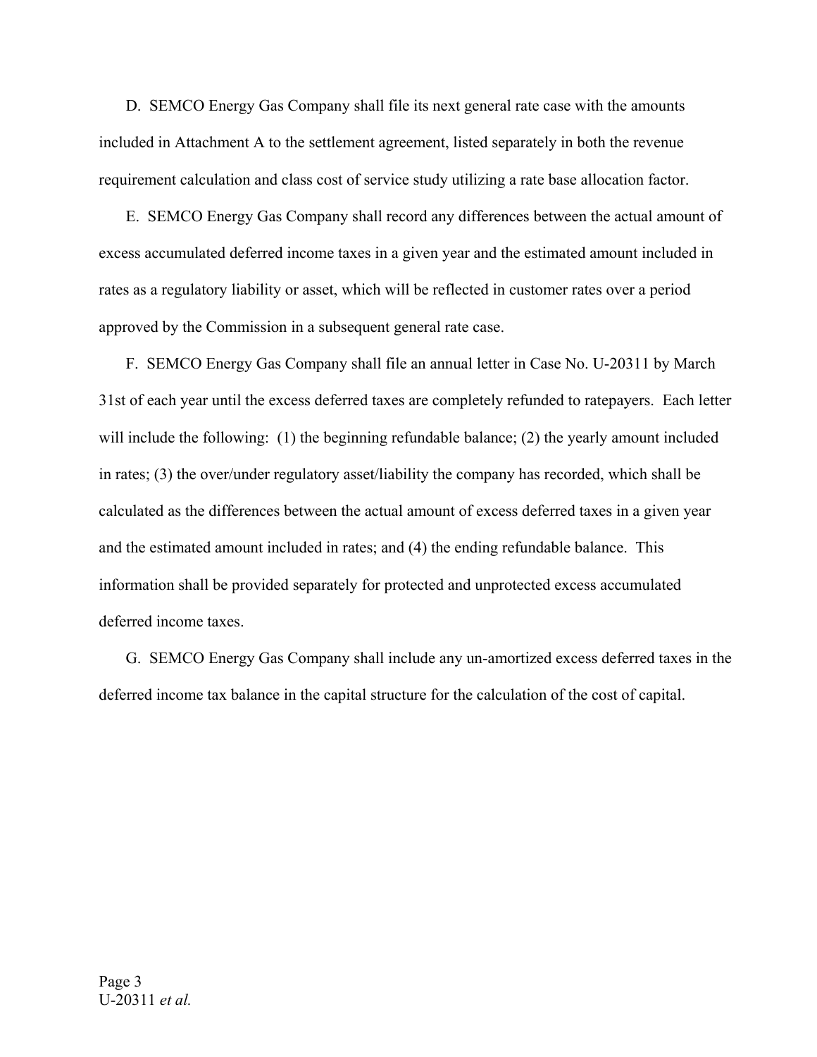D. SEMCO Energy Gas Company shall file its next general rate case with the amounts included in Attachment A to the settlement agreement, listed separately in both the revenue requirement calculation and class cost of service study utilizing a rate base allocation factor.

 E. SEMCO Energy Gas Company shall record any differences between the actual amount of excess accumulated deferred income taxes in a given year and the estimated amount included in rates as a regulatory liability or asset, which will be reflected in customer rates over a period approved by the Commission in a subsequent general rate case.

 F. SEMCO Energy Gas Company shall file an annual letter in Case No. U-20311 by March 31st of each year until the excess deferred taxes are completely refunded to ratepayers. Each letter will include the following: (1) the beginning refundable balance; (2) the yearly amount included in rates; (3) the over/under regulatory asset/liability the company has recorded, which shall be calculated as the differences between the actual amount of excess deferred taxes in a given year and the estimated amount included in rates; and (4) the ending refundable balance. This information shall be provided separately for protected and unprotected excess accumulated deferred income taxes.

 G. SEMCO Energy Gas Company shall include any un-amortized excess deferred taxes in the deferred income tax balance in the capital structure for the calculation of the cost of capital.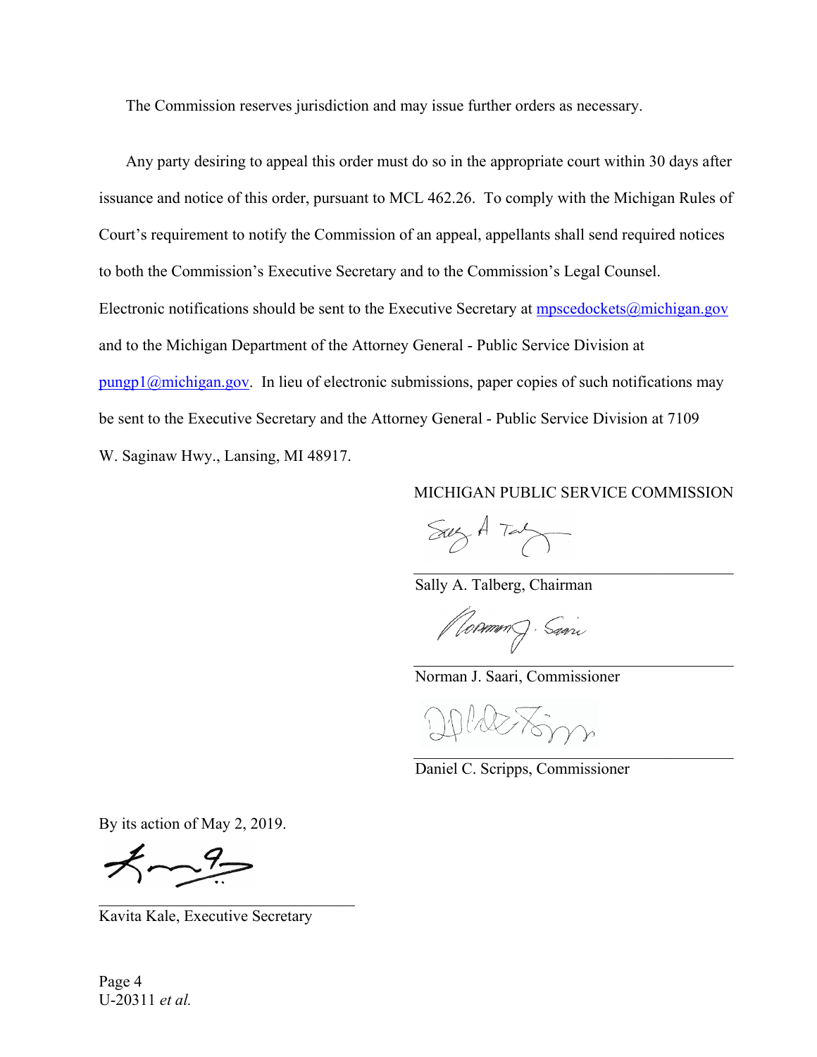The Commission reserves jurisdiction and may issue further orders as necessary.

 Any party desiring to appeal this order must do so in the appropriate court within 30 days after issuance and notice of this order, pursuant to MCL 462.26. To comply with the Michigan Rules of Court's requirement to notify the Commission of an appeal, appellants shall send required notices to both the Commission's Executive Secretary and to the Commission's Legal Counsel. Electronic notifications should be sent to the Executive Secretary at mpscedockets@michigan.gov and to the Michigan Department of the Attorney General - Public Service Division at pungp1@michigan.gov. In lieu of electronic submissions, paper copies of such notifications may be sent to the Executive Secretary and the Attorney General - Public Service Division at 7109 W. Saginaw Hwy., Lansing, MI 48917.

MICHIGAN PUBLIC SERVICE COMMISSION

 $SayA Tay$ 

Sally A. Talberg, Chairman

*(Vormm*) Sam  $\mathcal{L}$ 

Norman J. Saari, Commissioner

DOLAETSM  $\mathcal{L}_\text{max}$  and  $\mathcal{L}_\text{max}$  and  $\mathcal{L}_\text{max}$  and  $\mathcal{L}_\text{max}$  and  $\mathcal{L}_\text{max}$ 

Daniel C. Scripps, Commissioner

By its action of May 2, 2019.

 $7 - 9 -$ 

Kavita Kale, Executive Secretary

Page 4 U-20311 *et al.*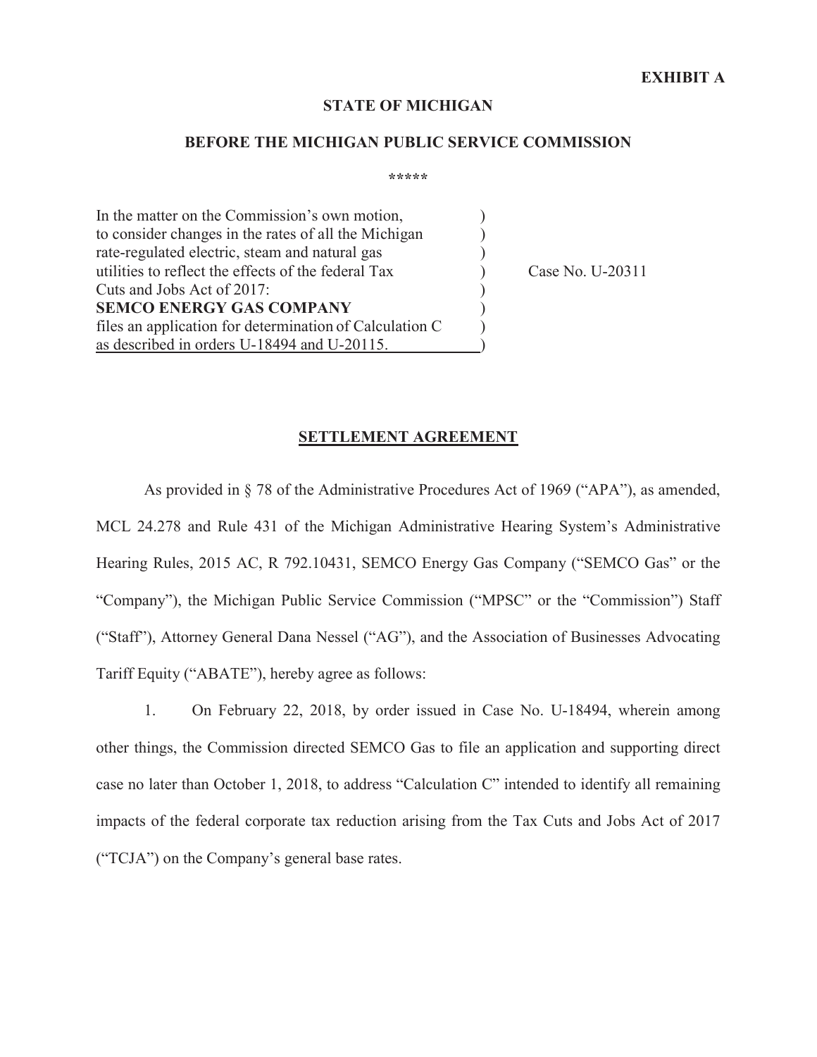#### **STATE OF MICHIGAN**

#### **BEFORE THE MICHIGAN PUBLIC SERVICE COMMISSION**

**\*\*\*\*\*** 

In the matter on the Commission's own motion, to consider changes in the rates of all the Michigan ) rate-regulated electric, steam and natural gas  $( )$ utilities to reflect the effects of the federal Tax (a) Case No. U-20311 Cuts and Jobs Act of 2017: **SEMCO ENERGY GAS COMPANY** ) files an application for determination of Calculation C ) as described in orders U-18494 and U-20115.

#### **SETTLEMENT AGREEMENT**

As provided in § 78 of the Administrative Procedures Act of 1969 ("APA"), as amended, MCL 24.278 and Rule 431 of the Michigan Administrative Hearing System's Administrative Hearing Rules, 2015 AC, R 792.10431, SEMCO Energy Gas Company ("SEMCO Gas" or the "Company"), the Michigan Public Service Commission ("MPSC" or the "Commission") Staff ("Staff"), Attorney General Dana Nessel ("AG"), and the Association of Businesses Advocating Tariff Equity ("ABATE"), hereby agree as follows:

1. On February 22, 2018, by order issued in Case No. U-18494, wherein among other things, the Commission directed SEMCO Gas to file an application and supporting direct case no later than October 1, 2018, to address "Calculation C" intended to identify all remaining impacts of the federal corporate tax reduction arising from the Tax Cuts and Jobs Act of 2017 ("TCJA") on the Company's general base rates.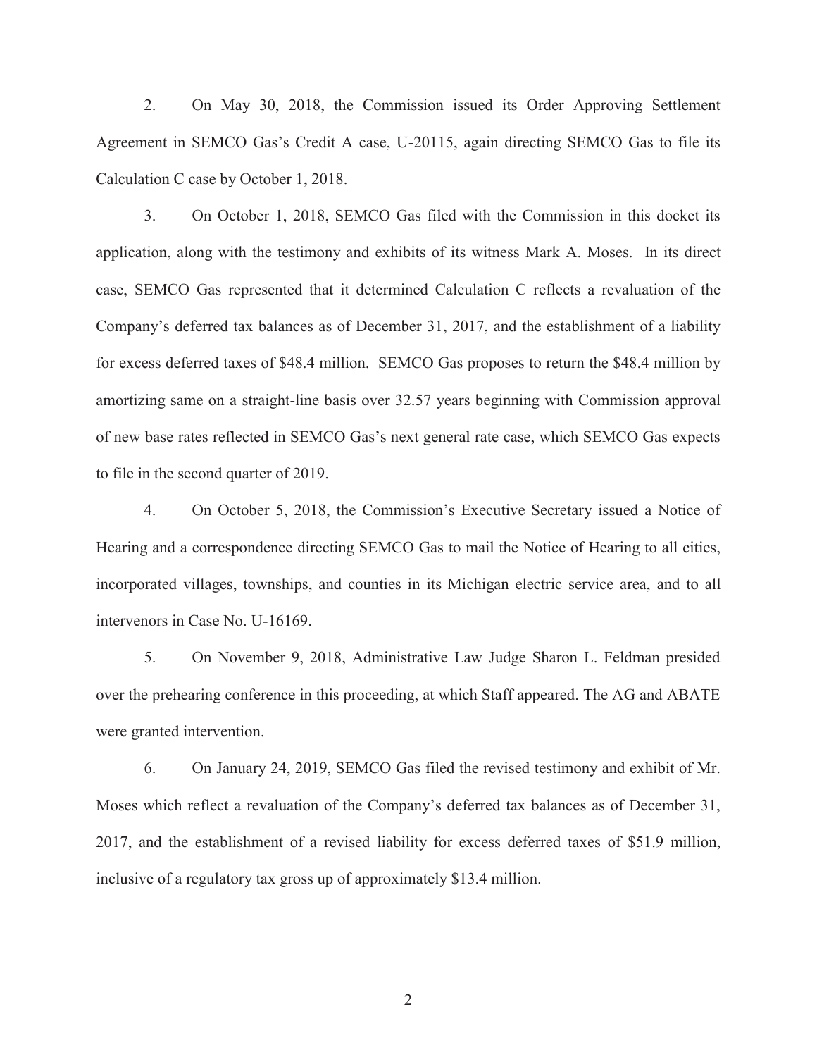2. On May 30, 2018, the Commission issued its Order Approving Settlement Agreement in SEMCO Gas's Credit A case, U-20115, again directing SEMCO Gas to file its Calculation C case by October 1, 2018.

3. On October 1, 2018, SEMCO Gas filed with the Commission in this docket its application, along with the testimony and exhibits of its witness Mark A. Moses. In its direct case, SEMCO Gas represented that it determined Calculation C reflects a revaluation of the Company's deferred tax balances as of December 31, 2017, and the establishment of a liability for excess deferred taxes of \$48.4 million. SEMCO Gas proposes to return the \$48.4 million by amortizing same on a straight-line basis over 32.57 years beginning with Commission approval of new base rates reflected in SEMCO Gas's next general rate case, which SEMCO Gas expects to file in the second quarter of 2019.

4. On October 5, 2018, the Commission's Executive Secretary issued a Notice of Hearing and a correspondence directing SEMCO Gas to mail the Notice of Hearing to all cities, incorporated villages, townships, and counties in its Michigan electric service area, and to all intervenors in Case No. U-16169.

5. On November 9, 2018, Administrative Law Judge Sharon L. Feldman presided over the prehearing conference in this proceeding, at which Staff appeared. The AG and ABATE were granted intervention.

6. On January 24, 2019, SEMCO Gas filed the revised testimony and exhibit of Mr. Moses which reflect a revaluation of the Company's deferred tax balances as of December 31, 2017, and the establishment of a revised liability for excess deferred taxes of \$51.9 million, inclusive of a regulatory tax gross up of approximately \$13.4 million.

2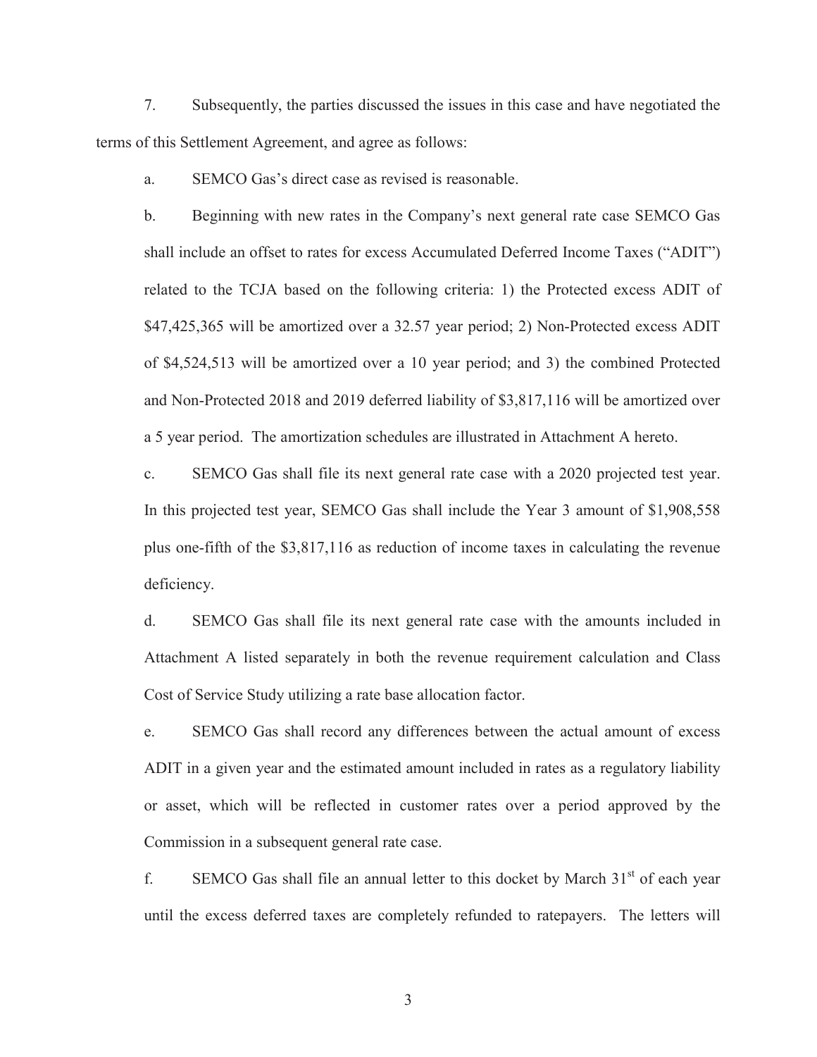7. Subsequently, the parties discussed the issues in this case and have negotiated the terms of this Settlement Agreement, and agree as follows:

a. SEMCO Gas's direct case as revised is reasonable.

b. Beginning with new rates in the Company's next general rate case SEMCO Gas shall include an offset to rates for excess Accumulated Deferred Income Taxes ("ADIT") related to the TCJA based on the following criteria: 1) the Protected excess ADIT of \$47,425,365 will be amortized over a 32.57 year period; 2) Non-Protected excess ADIT of \$4,524,513 will be amortized over a 10 year period; and 3) the combined Protected and Non-Protected 2018 and 2019 deferred liability of \$3,817,116 will be amortized over a 5 year period. The amortization schedules are illustrated in Attachment A hereto.

c. SEMCO Gas shall file its next general rate case with a 2020 projected test year. In this projected test year, SEMCO Gas shall include the Year 3 amount of \$1,908,558 plus one-fifth of the \$3,817,116 as reduction of income taxes in calculating the revenue deficiency.

d. SEMCO Gas shall file its next general rate case with the amounts included in Attachment A listed separately in both the revenue requirement calculation and Class Cost of Service Study utilizing a rate base allocation factor.

e. SEMCO Gas shall record any differences between the actual amount of excess ADIT in a given year and the estimated amount included in rates as a regulatory liability or asset, which will be reflected in customer rates over a period approved by the Commission in a subsequent general rate case.

f. SEMCO Gas shall file an annual letter to this docket by March  $31<sup>st</sup>$  of each year until the excess deferred taxes are completely refunded to ratepayers. The letters will

3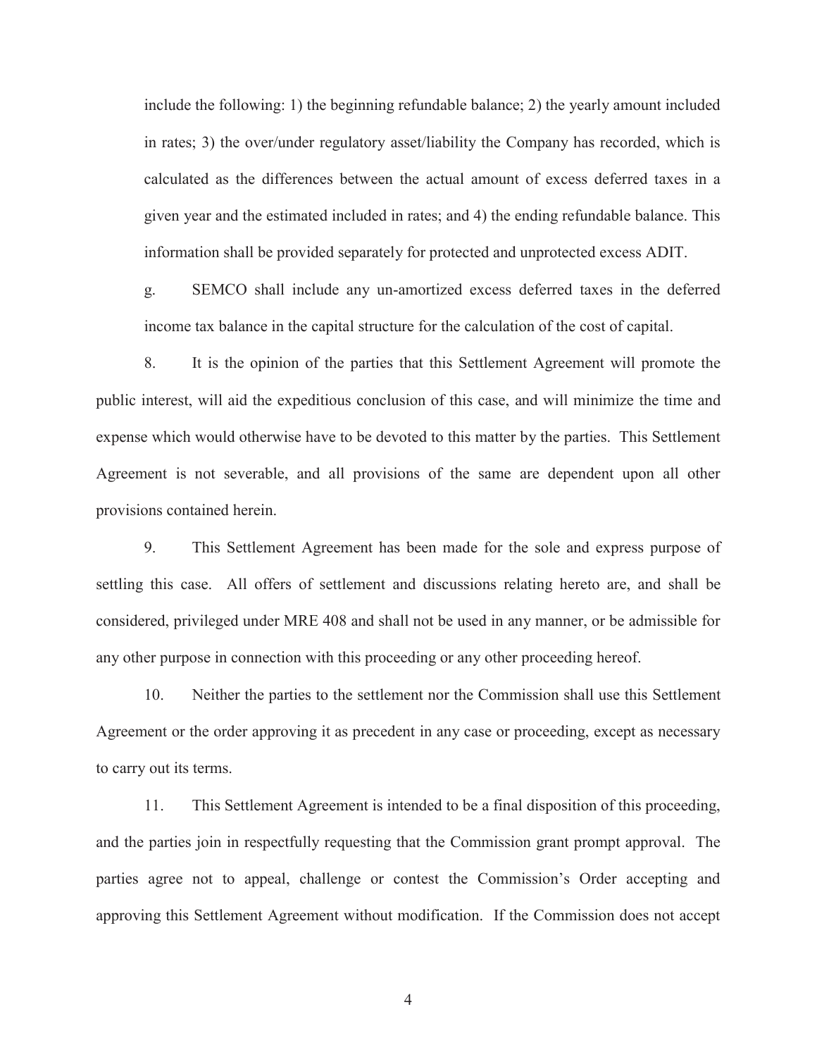include the following: 1) the beginning refundable balance; 2) the yearly amount included in rates; 3) the over/under regulatory asset/liability the Company has recorded, which is calculated as the differences between the actual amount of excess deferred taxes in a given year and the estimated included in rates; and 4) the ending refundable balance. This information shall be provided separately for protected and unprotected excess ADIT.

g. SEMCO shall include any un-amortized excess deferred taxes in the deferred income tax balance in the capital structure for the calculation of the cost of capital.

8. It is the opinion of the parties that this Settlement Agreement will promote the public interest, will aid the expeditious conclusion of this case, and will minimize the time and expense which would otherwise have to be devoted to this matter by the parties. This Settlement Agreement is not severable, and all provisions of the same are dependent upon all other provisions contained herein.

9. This Settlement Agreement has been made for the sole and express purpose of settling this case. All offers of settlement and discussions relating hereto are, and shall be considered, privileged under MRE 408 and shall not be used in any manner, or be admissible for any other purpose in connection with this proceeding or any other proceeding hereof.

10. Neither the parties to the settlement nor the Commission shall use this Settlement Agreement or the order approving it as precedent in any case or proceeding, except as necessary to carry out its terms.

11. This Settlement Agreement is intended to be a final disposition of this proceeding, and the parties join in respectfully requesting that the Commission grant prompt approval. The parties agree not to appeal, challenge or contest the Commission's Order accepting and approving this Settlement Agreement without modification. If the Commission does not accept

4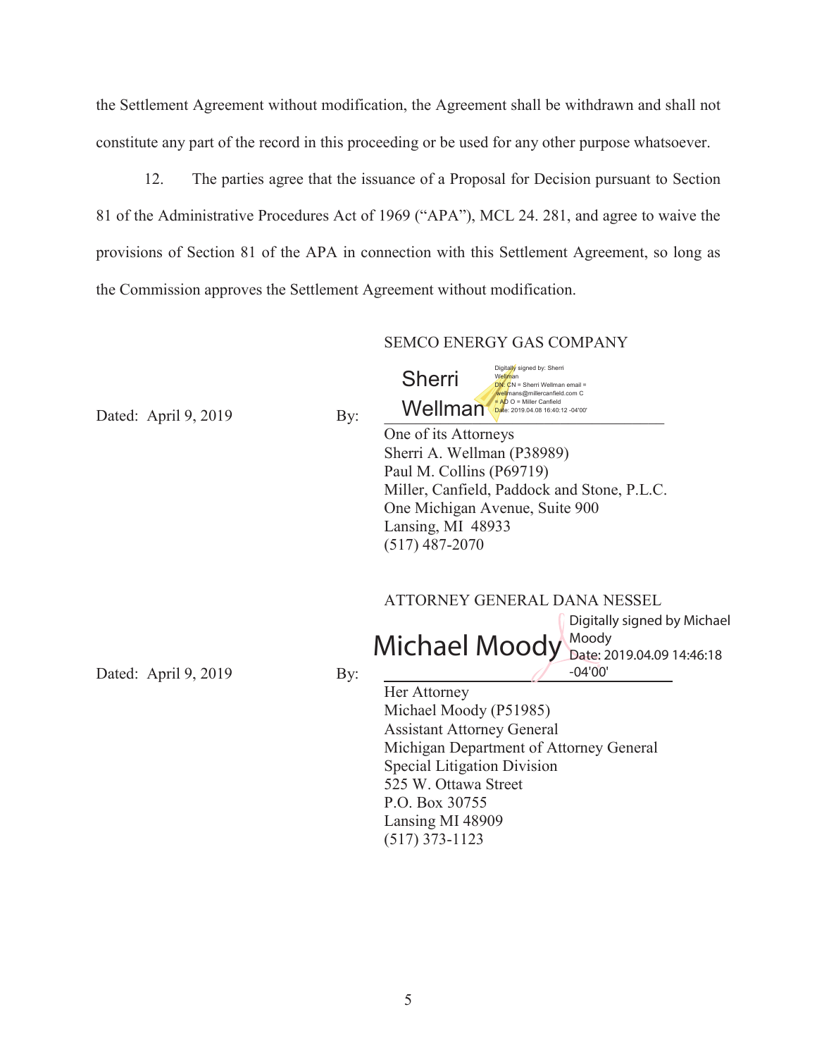the Settlement Agreement without modification, the Agreement shall be withdrawn and shall not constitute any part of the record in this proceeding or be used for any other purpose whatsoever.

12. The parties agree that the issuance of a Proposal for Decision pursuant to Section 81 of the Administrative Procedures Act of 1969 ("APA"), MCL 24. 281, and agree to waive the provisions of Section 81 of the APA in connection with this Settlement Agreement, so long as the Commission approves the Settlement Agreement without modification.

#### SEMCO ENERGY GAS COMPANY

Dated: April  $9, 2019$  By:

Digitally signed by: Sherri Well**m**an<br><mark>DN: C</mark>N = Sherri Wellman email = Wellmans@millercanfield.com C<br>Mellman Cante: 2019.04.08 16:40:12 -04'00" Sherri

 One of its Attorneys Sherri A. Wellman (P38989) Paul M. Collins (P69719) Miller, Canfield, Paddock and Stone, P.L.C. One Michigan Avenue, Suite 900 Lansing, MI 48933 (517) 487-2070

#### ATTORNEY GENERAL DANA NESSEL

Michael Moody Moody Digitally signed by Michael<br>Moody Date: 2019.04.09 14:46:18  $-04'00'$ 

Dated: April 9, 2019 By:

Her Attorney Michael Moody (P51985) Assistant Attorney General Michigan Department of Attorney General Special Litigation Division 525 W. Ottawa Street P.O. Box 30755 Lansing MI 48909 (517) 373-1123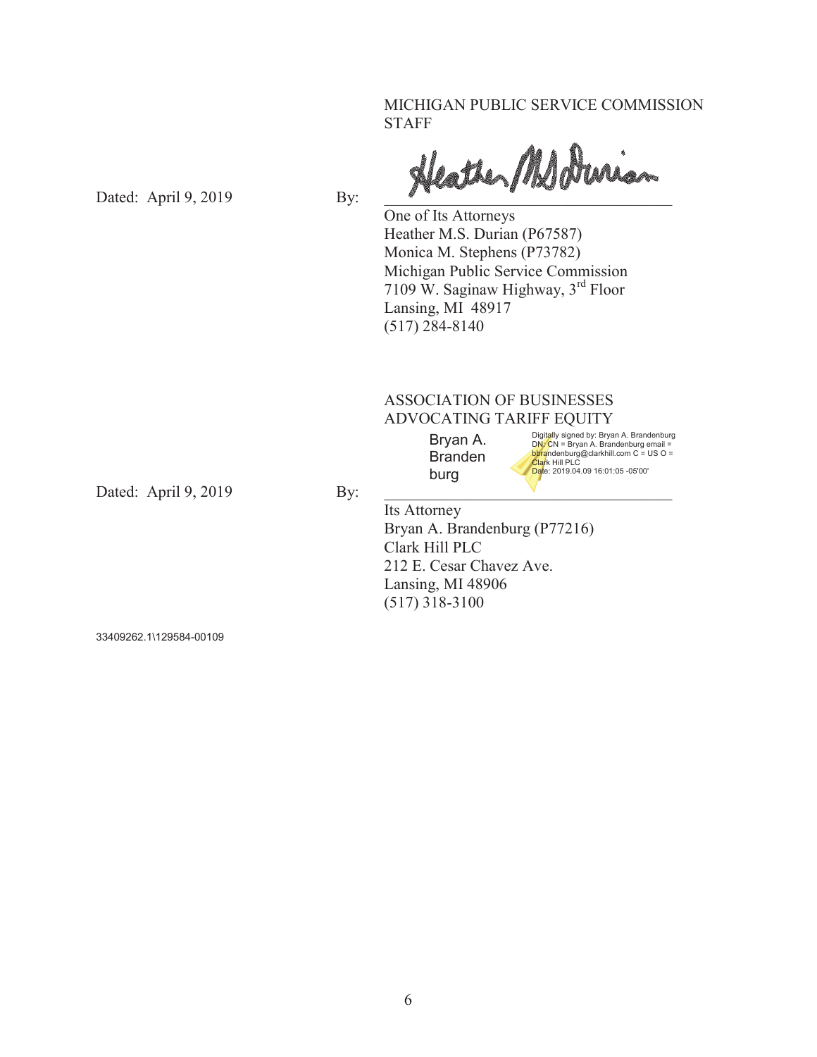MICHIGAN PUBLIC SERVICE COMMISSION STAFF

Dated: April 9, 2019 By:  $\frac{\partial}{\partial x}$ 

 One of Its Attorneys Heather M.S. Durian (P67587) Monica M. Stephens (P73782) Michigan Public Service Commission 7109 W. Saginaw Highway, 3rd Floor Lansing, MI 48917 (517) 284-8140

### ASSOCIATION OF BUSINESSES ADVOCATING TARIFF EQUITY

Bryan A. Branden burg

Digit<mark>a</mark>lly signed by: Bryan A. Brandenburg<br>DN: CN = Bryan A. Brandenburg email =<br><mark>bhra</mark>ndenburg@clarkhill.com C = US O =<br><mark>Clar</mark>k Hill PLC Date: 2019.04.09 16:01:05 -05'00'

Dated: April 9, 2019 By:

 Its Attorney Bryan A. Brandenburg (P77216) Clark Hill PLC 212 E. Cesar Chavez Ave. Lansing, MI 48906 (517) 318-3100

33409262.1\129584-00109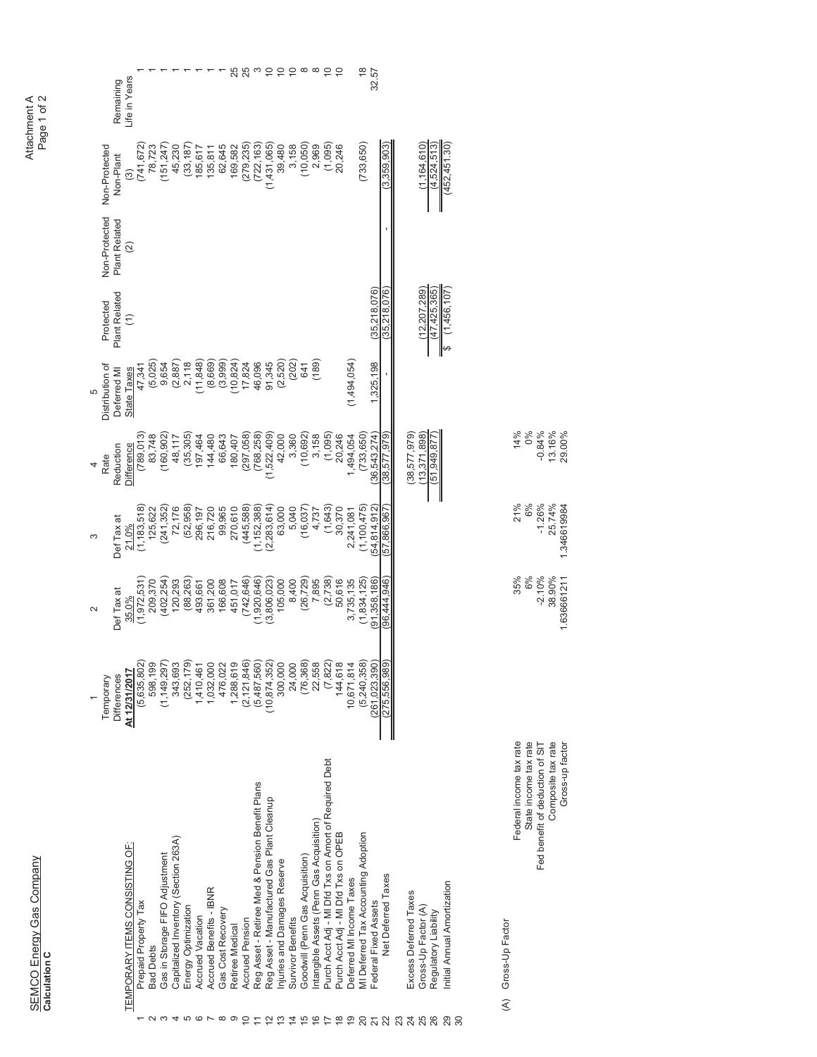SEMCO Energy Gas Company<br>Calculation C SEMCO Energy Gas Company Calculation C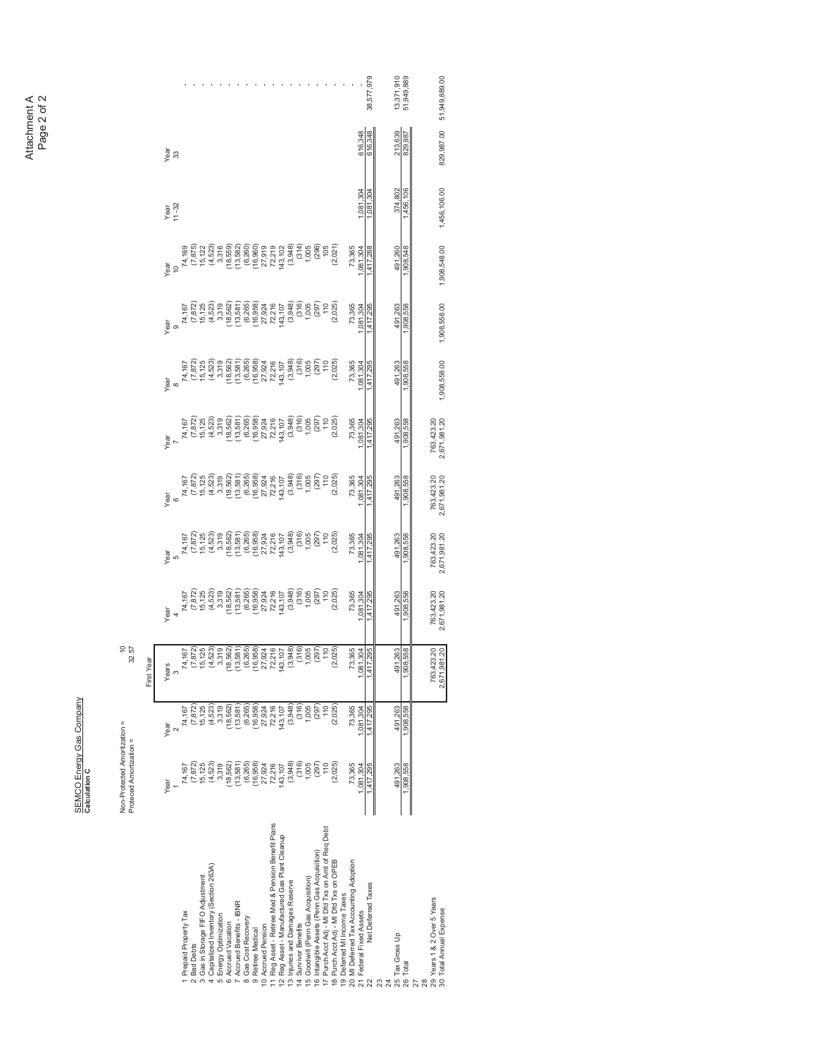Attachment A<br>Page 2 of 2 Attachment A Page 2 of 2

> SEMCO Energy Gas Company<br>Calculation C SEMCO Energy Gas Company

829,987.00 51,949,889.00 22 NetDeelTexes 1,417,295 1,417,295 1,417,295 1,417,295 1,417,295 1,417,295 1,417,295 1,417,295 1,417,295 1,417,295 1,417,295 1,417,295 1,417,295 1,417,295 1,417,295 1,417,295 1,417,295 1,417,295 1,417,295 1,417,295 1,417, 01517.0217.02 02011.07 0397.07 0397.07 0397.07 0397.07 0397.07 0397.07 0397.07 0397.07 0397.07 0397.07 0397.07 0397.07 0397.07 0397.07 0397.07 0397.07 0397.07 0397.07 0397.07 0397.07 0397.07 0397.07 0397.07 0397.07 0397.07 1,038,598,598,1998,598 1,908,598 1,908,598 1,908,598 1,908,598 1,908,598 1,908,598 1,908,598 1,908,598 1,908,598 1,908,598 1,908,598 1,908,598 1,908,598 1,908,598 1,908,598 1,908,598 1,908,598 1,908,598 1,908,598 1,908,598 30 AnnualExpense 1,4951,987.00 2671,981.20 2671,981.20 2,671,981.20 2,671,981.20 2,671,991.20 2,671,9908,558.00 1,9008,548.00 1,9008,548.00 1,9008,548.00 51,948.00 51,948.000 51,948.00 /CGTS / CGTS / CGTS / CGTS / CGTS / CGTS / CGTS / CGTS / CGTS / CGTS / CGTS / CGTS / CGTS / CGTS / CGTS / CGTS / CGTS / CGTS / CGTS / CGTS / CGTS / CGTS / CGTS / CGTS / CGTS / CGTS / CGTS / CGTS / CGTS / CGTS / CGTS / CGTS 6[XIN'IIZ'JP3/\*LJ:^YUT'SZUL8KW\*KHZ 1 RepartyTax 14,167 14,167 14,167 14,167 14,167 14,167 14,167 14,167 14,167 14,167 14,167 14,169 14,169 14,169 2 Bad Debts (7,872) (7,872) (7,872) (7,872) (7,872) (7,872) (7,872) (7,872) (7,872) (7,872) (7,872) (7,872) (7,875) 3 Gasin Stortpent 15,125, 15,125 15,125 15,125 15,125 15,125 15,125 15,125 15,125 15,125 15,122 15,122 15,122 9 DESPONS DESPONS (4,523) (4,523) (4,523) (4,523) (4,523) (4,523) (4,523) (4,523) (4,523) (4,523) (4,523) (4,523) (4,523) (4,523) +TKXM\_5VZOSO`GZOUT e Aecuber 18.562) (18.562) (18.562) (18.562) (18.562) (18.562) (18.562) (18.562) (18.562) (18.562) (18.569) (18.569) 'IIX[KJ(KTKLOZY/(48 8 GasCovery (6,265) (6,265) (6,265) (6,265) (6,265) (6,265) (6,265) (6,265) (6,265) (6,265) (6,265) (6,265) (6,265) - 1999年9月19日(1999年) (1999年) (1999年) (1999年) (1999年) (1999年) (1999年) (1999年) (1999年) (1999年) (1999年) (1999年) ( 10.Represion 27,924 27,924 27,924 27,924 27,924 27,924 27,924 27,924 27,924 27,924 27,924 27,924 27,924 27,924 11 Reg Asset - Retiree Med & Perision Benefit Plans – 72,216 – 72,216 – 72,216 – 72,216 – 72,216 – 72,216 – 72,216 – 72,216 – 72,216 – 72,216 – 72,216 – 72,216 – 72,216 – 72,216 – 72,216 – 72,216 – 72,219 – 72,219 – 72,219 143,107 143,107 143,107 143,107 143,107 143,107 143,107 143,107 143,107 143,107 143,107 143,107 143,107 143,107 - (376°C) (376°C) (376°C) (376°C) (376°C) (376°C) (376°C) (376°C) (376°C) (376°C) (376°C) (376°C) (376°C) (376°C) (376°C) (376°C) (376°C) (376°C) (376°C) (376°C) (376°C) (376°C) (376°C) (376°C) (376°C) (376°C) (376°C) (376 9[X\O\UX(KTKLOZY 1,005 1,005 1,005 1,005 1,005 1,005 1,005 1,005 1,005 1,005 1,005 1,005 1,005 1,005 1,005 1,005 1,005 1,005 1, 18. 18. 19.025) (20.025) (20.025) (20.025) (20.025) (20.025) (20.025) (20.025) (20.025) (20.025) (20.025) (20.025) \* Group Taxes<br>19 Deferred MI Income Taxes 20 MIDeferred Tax Acoption 13,365 73,365 73,365 73,365 73,365 73,365 73,365 73,365 73,365 73,365 73,365 73,365 2, NPS 2013, 2014, 2015, 2016, 2017, 2017, 2017, 2017, 2017, 2017, 2017, 2017, 2017, 2017, 2017, 2017, 2017, 2017, 2017, 2017, 2017, 2017, 2017, 2017, 2017, 2017, 2017, 2017, 2017, 2017, 2017, 2017, 2017, 2017, 2017, 2017 213,639<br>829.987 616,348 Year<br>33 ?kGXY ?KGXY ?KGXY ?KGXY ?KGXY ?KGXY ?KGXY ?KGXY ?KGXY ?KGXY ?KGXY ?KGXY ?KGXY ?KGXY ?KGXY ?KGXY ?KGXY ?KGXY ?KGXY 1,908,558.00 1,908,558.00 1,908,548.00 1,456,106.00 1,081,304 374,802 Year<br>11 -32 ,456  $\chi_{\rm jet}$  is a set of  $\chi_{\rm eff}$  is a set of  $\chi_{\rm eff}$  is a set of  $\chi_{\rm eff}$  is a set of  $\chi_{\rm eff}$  is a set of  $\chi_{\rm eff}$  is a set of  $\chi_{\rm eff}$  is a set of  $\chi_{\rm eff}$  is a set of  $\chi_{\rm eff}$  is a set of  $\chi_{\rm eff}$  is a set of 73,365<br>1,081,304 491,260 Year<br>9<br>74,167<br>7372)  $\begin{array}{l} (1,0,0,0)\\ (1,0,0,0,0)\\ (1,0,0,0,0)\\ (1,0,0,0,0)\\ (1,0,0,0,0)\\ (1,0,0,0,0)\\ (1,0,0,0,0)\\ (1,0,0,0,0)\\ (1,0,0,0,0)\\ (1,0,0,0,0)\\ (1,0,0,0,0)\\ (1,0,0,0,0)\\ (1,0,0,0,0)\\ (1,0,0,0,0)\\ (1,0,0,0,0)\\ (1,0,0,0,0)\\ (1,0,0,0,0)\\ (1,0,0,0,0)$ 73,365<br>,081,304 491,263  $\begin{array}{rll} \gamma_{\mathfrak{S}^{\mathfrak{S}}} & \mathfrak{S}^{\mathfrak{S}}_{\mathfrak{S}} & \mathfrak{S}^{\mathfrak{S}}_{\mathfrak{S}} \\ \gamma_{\mathfrak{S}} & \mathfrak{S}^{\mathfrak{S}}_{\mathfrak{S}} & \mathfrak{S}^{\mathfrak{S}}_{\mathfrak{S}} & \mathfrak{S}^{\mathfrak{S}}_{\mathfrak{S}} \\ \gamma_{\mathfrak{S}} & \mathfrak{S}^{\mathfrak{S}}_{\mathfrak{S}} & \mathfrak{S}^{\mathfrak{S}}_{\mathfrak{S}} & \mathfr$ 73,365<br>081.304 491,263 763,423.20<br>2,671,981.20  $(297)$ <br> $(100)$ <br> $(100)$ <br> $(2,025)$ 73,365<br>,081,304 491,263 29 Years 1 & 2 Over 5 Years 763,423.20 T63,423.20 | 763,423.20 | 763,423.20 763,423.20 763,423.20 763,423.20 rear<br>7 763,423.20<br>2,671,981.20  $\begin{bmatrix} 1 & 67 \\ 7 & 872 \\ 1 & 125 \\ 1 & 125 \\ 1 & 125 \\ 1 & 125 \\ 1 & 125 \\ 1 & 125 \\ 1 & 125 \\ 1 & 125 \\ 1 & 125 \\ 1 & 125 \\ 1 & 125 \\ 1 & 125 \\ 1 & 125 \\ 1 & 125 \\ 1 & 125 \\ 1 & 125 \\ 1 & 125 \\ 1 & 125 \\ 1 & 125 \\ 1 & 125 \\ 1 & 125 \\ 1 & 125 \\ 1 & 125 \\ 1 & 125 \\ 1 & 125$  $(3.66)$ <br> $(3.67)$ <br> $(2.67)$ <br> $(2.625)$ <br> $(2.625)$ 73,365<br>,081,304 491,263 ear<br>6  $\begin{bmatrix} \frac{1}{2} & \frac{1}{2} & \frac{1}{2} & \frac{1}{2} & \frac{1}{2} \\ \frac{1}{2} & \frac{1}{2} & \frac{1}{2} & \frac{1}{2} & \frac{1}{2} & \frac{1}{2} \\ \frac{1}{2} & \frac{1}{2} & \frac{1}{2} & \frac{1}{2} & \frac{1}{2} & \frac{1}{2} \\ \frac{1}{2} & \frac{1}{2} & \frac{1}{2} & \frac{1}{2} & \frac{1}{2} & \frac{1}{2} \\ \frac{1}{2} & \frac{1}{2} & \frac{1}{2} & \frac{1}{2$ 763,423.20<br>2,671,981.20 73,365<br>,081,304 491,263  $\begin{array}{l} \frac{1}{2} \frac{1}{2} \left( \frac{1}{2} \frac{1}{2} \frac{1}{2} \frac{1}{2} \frac{1}{2} \frac{1}{2} \frac{1}{2} \frac{1}{2} \frac{1}{2} \frac{1}{2} \frac{1}{2} \frac{1}{2} \frac{1}{2} \frac{1}{2} \frac{1}{2} \frac{1}{2} \frac{1}{2} \frac{1}{2} \frac{1}{2} \frac{1}{2} \frac{1}{2} \frac{1}{2} \frac{1}{2} \frac{1}{2} \frac{1}{2} \frac{1}{2} \frac{1}{2} \frac{1}{2}$ 763,423.20<br>2,671,981.20 73,365<br>081,304 191.263  $(7,872)$ <br>15,125<br>(4,523)<br>3,319  $\begin{array}{l} (18,562)\\ (13,581)\\ (13,265)\\ (14,265)\\ (15,265)\\ (16,265)\\ (17,27)\\ (18,27)\\ (19,28)\\ (19,29)\\ (19,29)\\ (19,29)\\ (19,29)\\ (19,29)\\ (19,29)\\ (29,29)\\ (29,29)\\ (29,29)\\ (29,29)\\ (29,29)\\ (29,29)\\ (29,29)\\ (29,29)\\ (29,29)\\ (29,29)\\ (29,29)$ 73,365 763,423.20<br>2,671,981.20 74,167 491,263 First Year First Year Years  $\sim$  $\begin{array}{l} 71.67\\ 71.67\\ 22.67\\ 23.37\\ 24.67\\ 25.67\\ 26.67\\ 27.67\\ 28.67\\ 29.67\\ 20.67\\ 21.67\\ 22.68\\ 23.67\\ 24.67\\ 25.67\\ 26.67\\ 27.67\\ 28.67\\ 29.67\\ 20.67\\ 20.67\\ 21.67\\ 22.67\\ 23.67\\ 24.67\\ 25.67\\ 26.67\\ 27.67\\ 28.67\\ 29$ 73,365<br>081,304 491,263  $\frac{6}{2}$  $\begin{array}{l} \mathcal{A}, \mathcal{B},\\ \mathcal{C}, \mathcal{C}, \mathcal{C}, \mathcal{C}, \mathcal{C}, \mathcal{C}, \mathcal{C}, \mathcal{C}, \mathcal{C}, \mathcal{C}, \mathcal{C}, \mathcal{C}, \mathcal{C}, \mathcal{C}, \mathcal{C}, \mathcal{C}, \mathcal{C}, \mathcal{C}, \mathcal{C}, \mathcal{C}, \mathcal{C}, \mathcal{C}, \mathcal{C}, \mathcal{C}, \mathcal{C}, \mathcal{C}, \mathcal{C}, \mathcal{C}, \mathcal{C}, \mathcal{C}, \mathcal{C}, \mathcal{C}, \mathcal{C}, \math$ 73,365 491,263  $.908.$ Year 1 Prepaid Property Tax<br>2 Bad Debts<br>3 Gas in Storage FIFO Adjustment<br>4 Capitalized Inventory (Section 263A) 6 Accrued Vacation<br>7 Accrued Benefits - IBNR<br>8 Gas Cost Recovery<br>9 Retiree Medical 28<br>29 Years 1 & 2 Over 5 Years<br>30 Total Amual Expense 5 Energy Optimization ಣ ಸ ಏ ಐ ದ

13,371,910<br>51,949,889

38,577,979

and a series of the contract of the series

Calculation C

Non-Protected Amortization = Proteced Amortization =

Non-Protected Amortization =<br>Proteced Amortization =

 $\begin{array}{c} 10 \\ 32.57 \end{array}$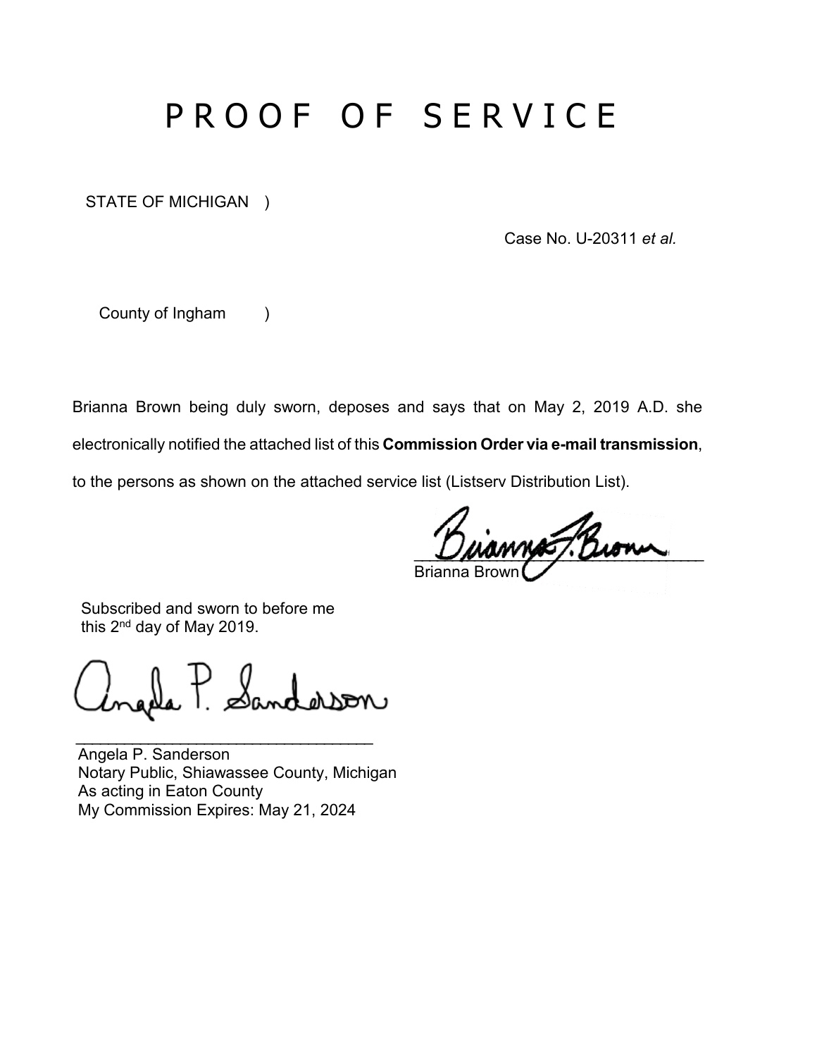# PROOF OF SERVICE

STATE OF MICHIGAN )

Case No. U-20311 *et al.* 

County of Ingham )

Brianna Brown being duly sworn, deposes and says that on May 2, 2019 A.D. she

electronically notified the attached list of this **Commission Order via e-mail transmission**,

to the persons as shown on the attached service list (Listserv Distribution List).

 $\mathcal{M}$ Brianna Brown

 Subscribed and sworn to before me this 2nd day of May 2019.

Sanderson

\_\_\_\_\_\_\_\_\_\_\_\_\_\_\_\_\_\_\_\_\_\_\_\_\_\_\_\_\_\_\_\_\_\_\_\_\_

Angela P. Sanderson Notary Public, Shiawassee County, Michigan As acting in Eaton County My Commission Expires: May 21, 2024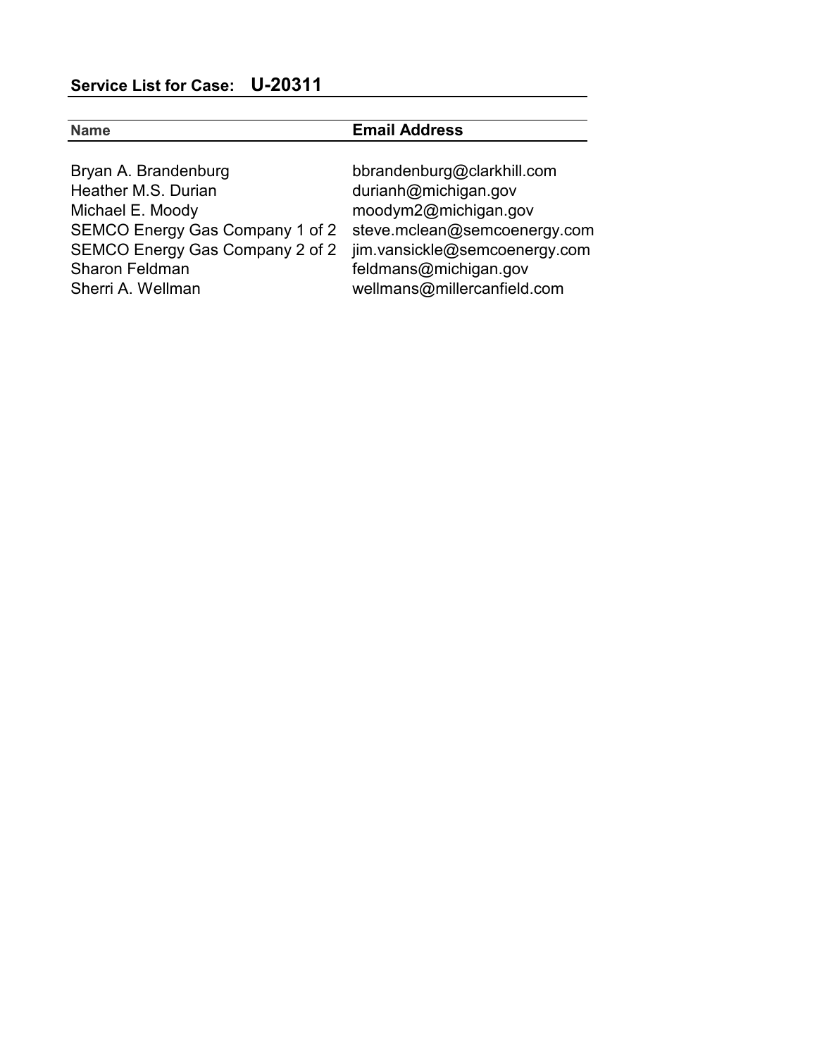|                                 | <b>Email Address</b>          |
|---------------------------------|-------------------------------|
| Bryan A. Brandenburg            | bbrandenburg@clarkhill.com    |
| Heather M.S. Durian             | durianh@michigan.gov          |
| Michael E. Moody                | moodym2@michigan.gov          |
| SEMCO Energy Gas Company 1 of 2 | steve.mclean@semcoenergy.com  |
| SEMCO Energy Gas Company 2 of 2 | jim.vansickle@semcoenergy.com |
| <b>Sharon Feldman</b>           | feldmans@michigan.gov         |
| Sherri A. Wellman               | wellmans@millercanfield.com   |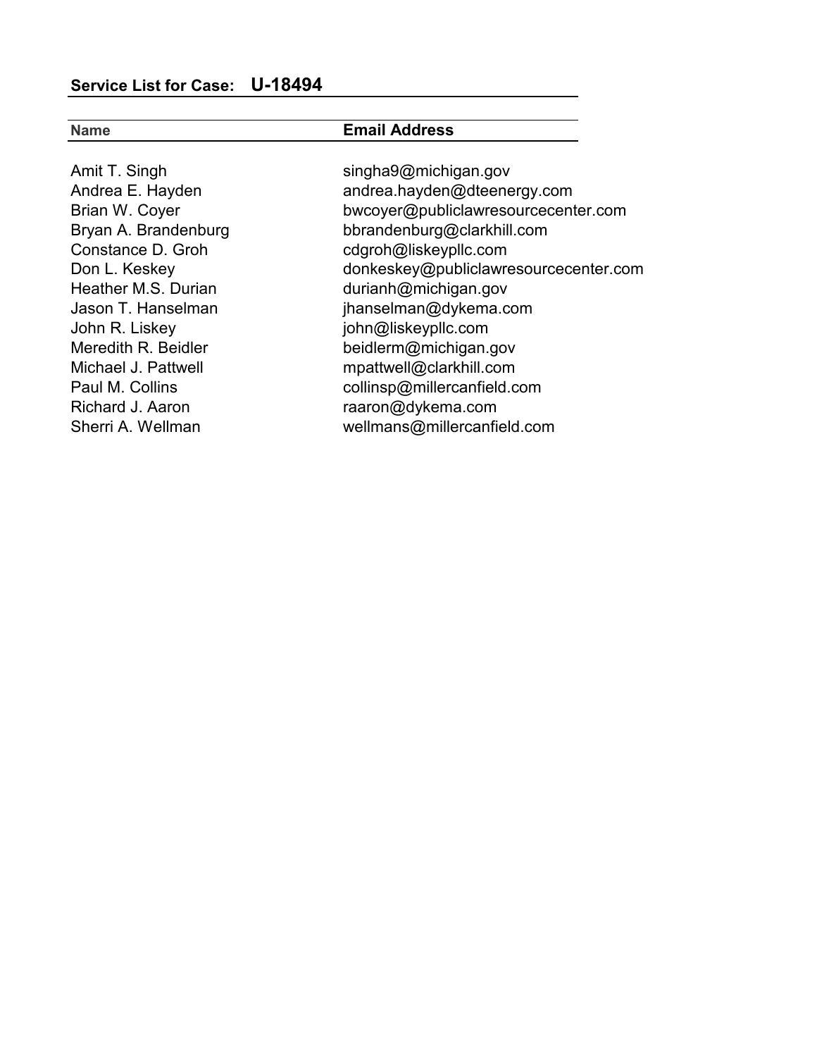| <b>Name</b>          | <b>Email Address</b>                  |
|----------------------|---------------------------------------|
|                      |                                       |
| Amit T. Singh        | singha9@michigan.gov                  |
| Andrea E. Hayden     | andrea.hayden@dteenergy.com           |
| Brian W. Coyer       | bwcoyer@publiclawresourcecenter.com   |
| Bryan A. Brandenburg | bbrandenburg@clarkhill.com            |
| Constance D. Groh    | cdgroh@liskeypllc.com                 |
| Don L. Keskey        | donkeskey@publiclawresourcecenter.com |
| Heather M.S. Durian  | durianh@michigan.gov                  |
| Jason T. Hanselman   | jhanselman@dykema.com                 |
| John R. Liskey       | john@liskeypllc.com                   |
| Meredith R. Beidler  | beidlerm@michigan.gov                 |
| Michael J. Pattwell  | mpattwell@clarkhill.com               |
| Paul M. Collins      | collinsp@millercanfield.com           |
| Richard J. Aaron     | raaron@dykema.com                     |
| Sherri A. Wellman    | wellmans@millercanfield.com           |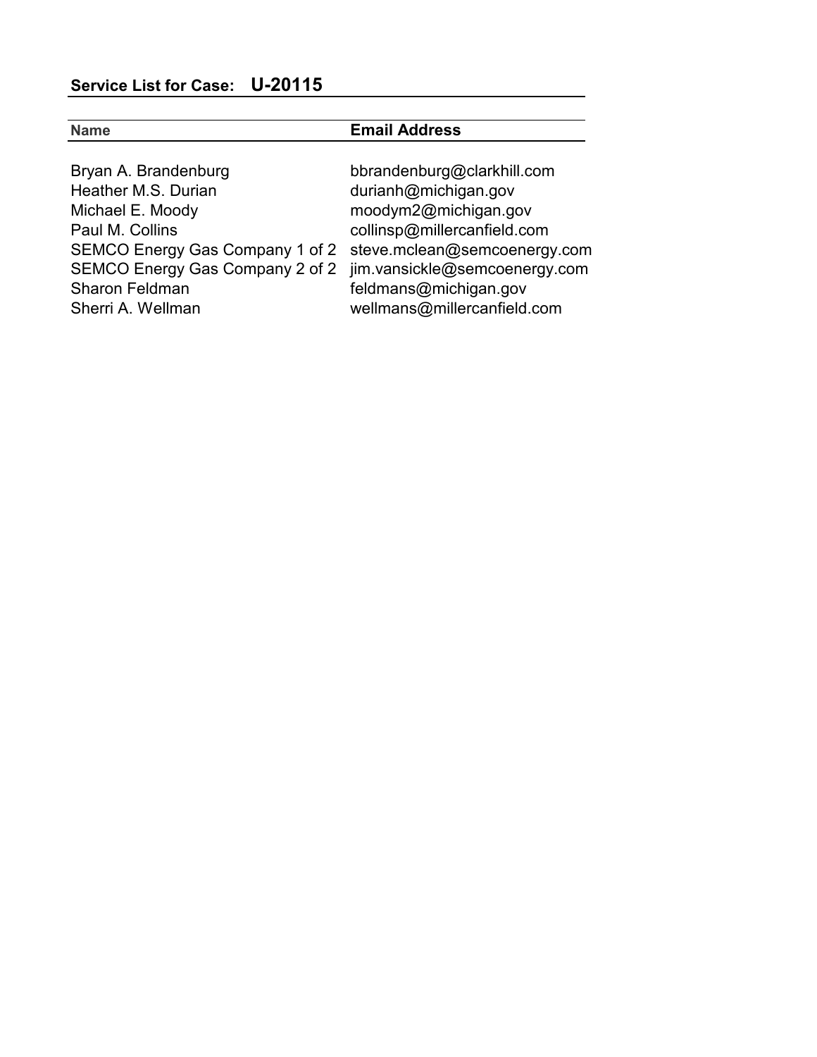| <b>Name</b>                                                   | <b>Email Address</b>        |
|---------------------------------------------------------------|-----------------------------|
|                                                               |                             |
| Bryan A. Brandenburg                                          | bbrandenburg@clarkhill.com  |
| Heather M.S. Durian                                           | durianh@michigan.gov        |
| Michael E. Moody                                              | moodym2@michigan.gov        |
| Paul M. Collins                                               | collinsp@millercanfield.com |
| SEMCO Energy Gas Company 1 of 2 steve.mclean@semcoenergy.com  |                             |
| SEMCO Energy Gas Company 2 of 2 jim.vansickle@semcoenergy.com |                             |
| <b>Sharon Feldman</b>                                         | feldmans@michigan.gov       |
| Sherri A. Wellman                                             | wellmans@millercanfield.com |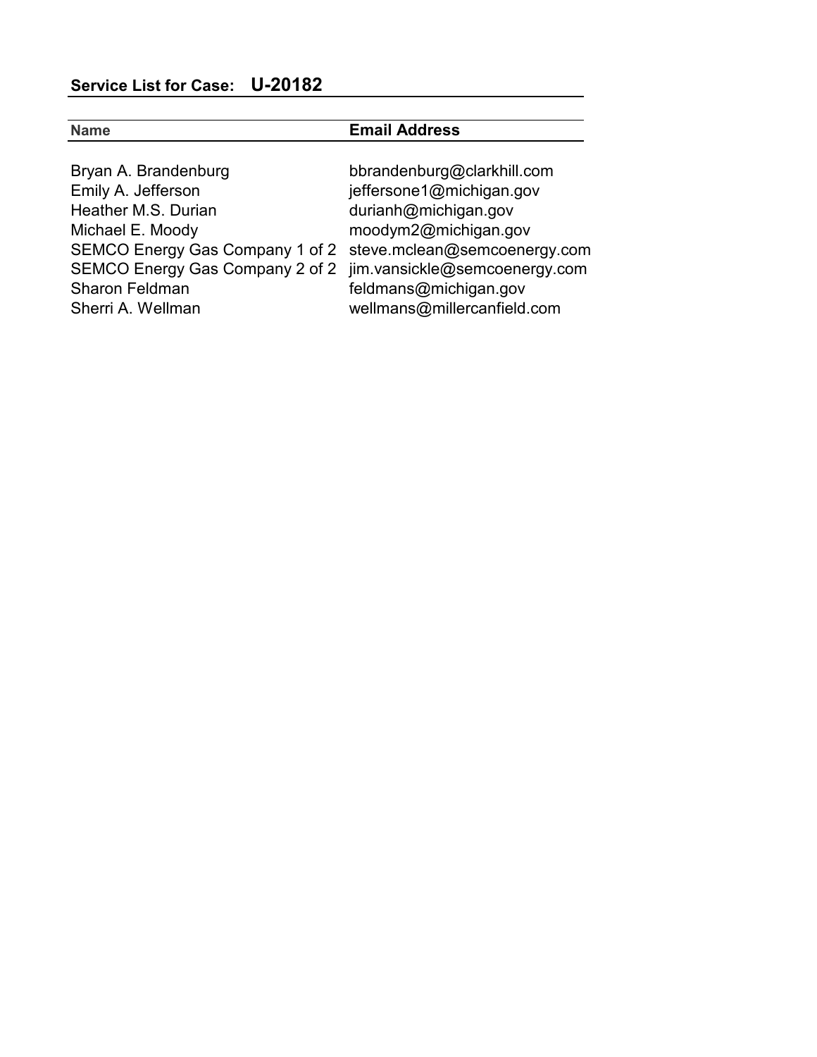| <b>Name</b>                                                                                                                                                                                                                                                          | <b>Email Address</b>                                                                                                                                           |
|----------------------------------------------------------------------------------------------------------------------------------------------------------------------------------------------------------------------------------------------------------------------|----------------------------------------------------------------------------------------------------------------------------------------------------------------|
| Bryan A. Brandenburg<br>Emily A. Jefferson<br>Heather M.S. Durian<br>Michael E. Moody<br>SEMCO Energy Gas Company 1 of 2 steve.mclean@semcoenergy.com<br>SEMCO Energy Gas Company 2 of 2 jim.vansickle@semcoenergy.com<br><b>Sharon Feldman</b><br>Sherri A. Wellman | bbrandenburg@clarkhill.com<br>jeffersone1@michigan.gov<br>durianh@michigan.gov<br>moodym2@michigan.gov<br>feldmans@michigan.gov<br>wellmans@millercanfield.com |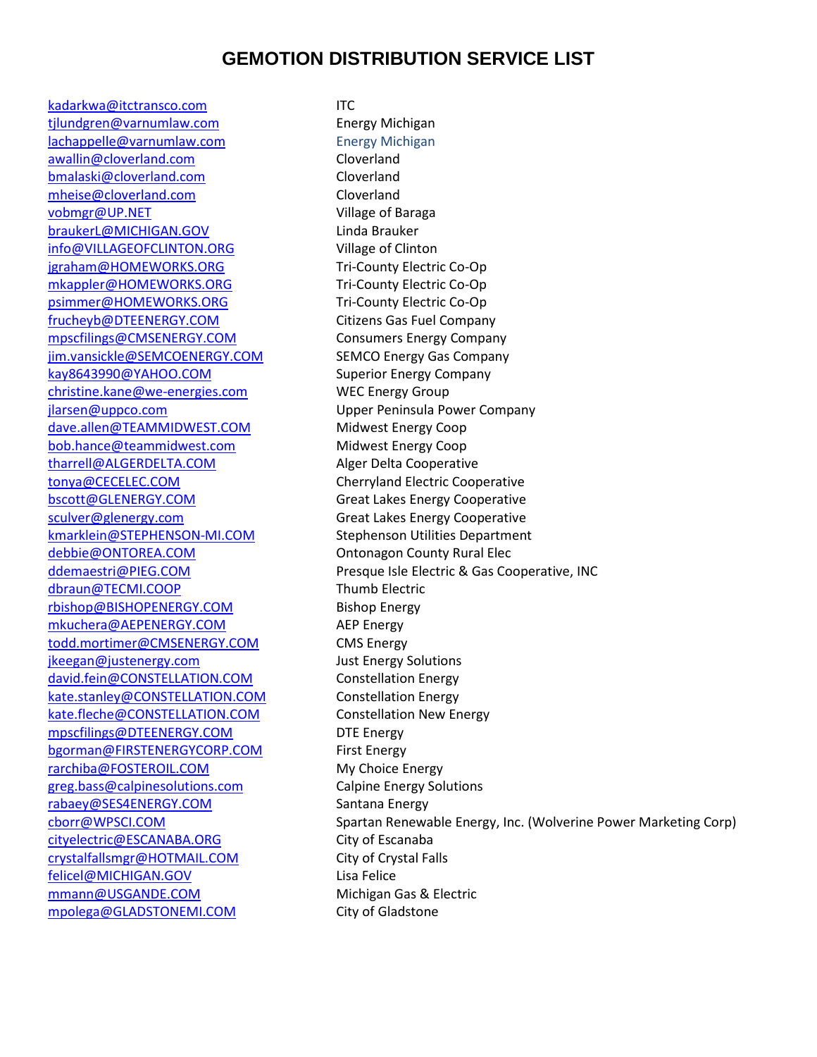## **GEMOTION DISTRIBUTION SERVICE LIST**

[kadarkwa@itctransco.com](mailto:kadarkwa@itctransco.com) ITC tilundgren@varnumlaw.com Energy Michigan [lachappelle@varnumlaw.com](mailto:lachappelle@varnumlaw.com) Energy Michigan [awallin@cloverland.com](mailto:awallin@cloverland.com) Cloverland [bmalaski@cloverland.com](mailto:bmalaski@cloverland.com) Cloverland [mheise@cloverland.com](mailto:mheise@cloverland.com) Cloverland [vobmgr@UP.NET](mailto:vobmgr@UP.NET) Village of Baraga [braukerL@MICHIGAN.GOV](mailto:braukerL@MICHIGAN.GOV) Linda Brauker [info@VILLAGEOFCLINTON.ORG](mailto:info@VILLAGEOFCLINTON.ORG) Village of Clinton [jgraham@HOMEWORKS.ORG](mailto:jgraham@HOMEWORKS.ORG) Tri-County Electric Co-Op [mkappler@HOMEWORKS.ORG](mailto:mkappler@HOMEWORKS.ORG) Tri-County Electric Co-Op [psimmer@HOMEWORKS.ORG](mailto:psimmer@HOMEWORKS.ORG) Tri-County Electric Co-Op [frucheyb@DTEENERGY.COM](mailto:frucheyb@DTEENERGY.COM) Citizens Gas Fuel Company [mpscfilings@CMSENERGY.COM](mailto:mpscfilings@CMSENERGY.COM) Consumers Energy Company [jim.vansickle@SEMCOENERGY.COM](mailto:jim.vansickle@SEMCOENERGY.COM) SEMCO Energy Gas Company [kay8643990@YAHOO.COM](mailto:kay8643990@YAHOO.COM) Superior Energy Company [christine.kane@we-energies.com](mailto:christine.kane@we-energies.com) WEC Energy Group [jlarsen@uppco.com](mailto:jlarsen@uppco.com) Upper Peninsula Power Company [dave.allen@TEAMMIDWEST.COM](mailto:dave.allen@TEAMMIDWEST.COM) Midwest Energy Coop [bob.hance@teammidwest.com](mailto:bob.hance@teammidwest.com) Midwest Energy Coop [tharrell@ALGERDELTA.COM](mailto:tharrell@ALGERDELTA.COM) Alger Delta Cooperative [tonya@CECELEC.COM](mailto:tonya@CECELEC.COM) Cherryland Electric Cooperative [bscott@GLENERGY.COM](mailto:bscott@GLENERGY.COM) Great Lakes Energy Cooperative [sculver@glenergy.com](mailto:sculver@glenergy.com) Great Lakes Energy Cooperative [kmarklein@STEPHENSON-MI.COM](mailto:kmarklein@STEPHENSON-MI.COM) Stephenson Utilities Department [debbie@ONTOREA.COM](mailto:debbie@ONTOREA.COM) **Ontonagon County Rural Elec** [dbraun@TECMI.COOP](mailto:dbraun@TECMI.COOP) Thumb Electric [rbishop@BISHOPENERGY.COM](mailto:rbishop@BISHOPENERGY.COM) Bishop Energy [mkuchera@AEPENERGY.COM](mailto:mkuchera@AEPENERGY.COM) AEP Energy [todd.mortimer@CMSENERGY.COM](mailto:todd.mortimer@CMSENERGY.COM) CMS Energy [jkeegan@justenergy.com](mailto:jkeegan@justenergy.com) Just Energy Solutions [david.fein@CONSTELLATION.COM](mailto:david.fein@CONSTELLATION.COM) Constellation Energy [kate.stanley@CONSTELLATION.COM](mailto:kate.stanley@CONSTELLATION.COM) Constellation Energy [kate.fleche@CONSTELLATION.COM](mailto:kate.fleche@CONSTELLATION.COM) Constellation New Energy [mpscfilings@DTEENERGY.COM](mailto:mpscfilings@DTEENERGY.COM) DTE Energy [bgorman@FIRSTENERGYCORP.COM](mailto:bgorman@FIRSTENERGYCORP.COM) First Energy [rarchiba@FOSTEROIL.COM](mailto:rarchiba@FOSTEROIL.COM) My Choice Energy [greg.bass@calpinesolutions.com](mailto:greg.bass@calpinesolutions.com) Calpine Energy Solutions [rabaey@SES4ENERGY.COM](mailto:rabaey@SES4ENERGY.COM) Santana Energy [cityelectric@ESCANABA.ORG](mailto:cityelectric@ESCANABA.ORG) City of Escanaba [crystalfallsmgr@HOTMAIL.COM](mailto:crystalfallsmgr@HOTMAIL.COM) City of Crystal Falls [felicel@MICHIGAN.GOV](mailto:felicel@MICHIGAN.GOV) Lisa Felice [mmann@USGANDE.COM](mailto:mmann@USGANDE.COM) Michigan Gas & Electric [mpolega@GLADSTONEMI.COM](mailto:mpolega@GLADSTONEMI.COM) City of Gladstone

[ddemaestri@PIEG.COM](mailto:ddemaestri@PIEG.COM) Presque Isle Electric & Gas Cooperative, INC [cborr@WPSCI.COM](mailto:cborr@WPSCI.COM) Spartan Renewable Energy, Inc. (Wolverine Power Marketing Corp)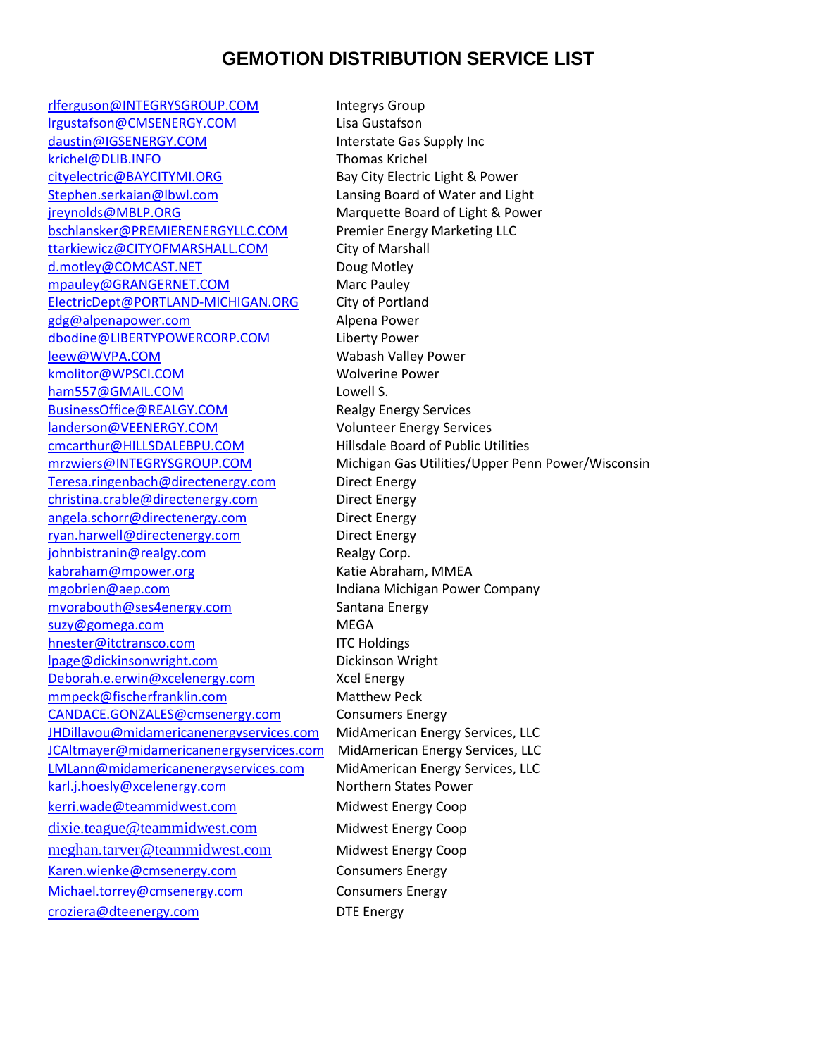## **GEMOTION DISTRIBUTION SERVICE LIST**

[rlferguson@INTEGRYSGROUP.COM](mailto:rlferguson@INTEGRYSGROUP.COM) lntegrys Group [lrgustafson@CMSENERGY.COM](mailto:lrgustafson@CMSENERGY.COM) Lisa Gustafson [daustin@IGSENERGY.COM](mailto:daustin@IGSENERGY.COM) Interstate Gas Supply Inc [krichel@DLIB.INFO](mailto:krichel@DLIB.INFO) Thomas Krichel [cityelectric@BAYCITYMI.ORG](mailto:cityelectric@BAYCITYMI.ORG) Bay City Electric Light & Power [Stephen.serkaian@lbwl.com](mailto:Stephen.serkaian@lbwl.com) Lansing Board of Water and Light [jreynolds@MBLP.ORG](mailto:jreynolds@MBLP.ORG) Marquette Board of Light & Power [bschlansker@PREMIERENERGYLLC.COM](mailto:bschlansker@PREMIERENERGYLLC.COM) Premier Energy Marketing LLC [ttarkiewicz@CITYOFMARSHALL.COM](mailto:ttarkiewicz@CITYOFMARSHALL.COM) City of Marshall [d.motley@COMCAST.NET](mailto:d.motley@COMCAST.NET) Doug Motley [mpauley@GRANGERNET.COM](mailto:mpauley@GRANGERNET.COM) Marc Pauley [ElectricDept@PORTLAND-MICHIGAN.ORG](mailto:ElectricDept@PORTLAND-MICHIGAN.ORG) City of Portland [gdg@alpenapower.com](mailto:gdg@alpenapower.com) Alpena Power [dbodine@LIBERTYPOWERCORP.COM](mailto:dbodine@LIBERTYPOWERCORP.COM) Liberty Power [leew@WVPA.COM](mailto:leew@WVPA.COM) Wabash Valley Power [kmolitor@WPSCI.COM](mailto:kmolitor@WPSCI.COM) Wolverine Power [ham557@GMAIL.COM](mailto:ham557@GMAIL.COM) Lowell S. [BusinessOffice@REALGY.COM](mailto:BusinessOffice@REALGY.COM) Realgy Energy Services [landerson@VEENERGY.COM](mailto:landerson@VEENERGY.COM) Volunteer Energy Services [cmcarthur@HILLSDALEBPU.COM](mailto:cmcarthur@HILLSDALEBPU.COM) Hillsdale Board of Public Utilities [Teresa.ringenbach@directenergy.com](mailto:Teresa.ringenbach@directenergy.com) Direct Energy [christina.crable@directenergy.com](mailto:christina.crable@directenergy.com) Direct Energy [angela.schorr@directenergy.com](mailto:angela.schorr@directenergy.com) Direct Energy [ryan.harwell@directenergy.com](mailto:ryan.harwell@directenergy.com) Direct Energy [johnbistranin@realgy.com](mailto:johnbistranin@realgy.com) Realgy Corp. [kabraham@mpower.org](mailto:kabraham@mpower.org) Katie Abraham, MMEA [mgobrien@aep.com](mailto:mgobrien@aep.com) Indiana Michigan Power Company [mvorabouth@ses4energy.com](mailto:mvorabouth@ses4energy.com) Santana Energy [suzy@gomega.com](mailto:suzy@gomega.com) MEGA [hnester@itctransco.com](mailto:hnester@itctransco.com) ITC Holdings [lpage@dickinsonwright.com](mailto:lpage@dickinsonwright.com) Dickinson Wright [Deborah.e.erwin@xcelenergy.com](mailto:Deborah.e.erwin@xcelenergy.com) Xcel Energy [mmpeck@fischerfranklin.com](mailto:mmpeck@fischerfranklin.com) Matthew Peck [CANDACE.GONZALES@cmsenergy.com](mailto:CANDACE.GONZALES@cmsenergy.com) Consumers Energy [JHDillavou@midamericanenergyservices.com](mailto:JHDillavou@midamericanenergyservices.com) MidAmerican Energy Services, LLC [JCAltmayer@midamericanenergyservices.com](mailto:JCAltmayer@midamericanenergyservices.com) MidAmerican Energy Services, LLC [LMLann@midamericanenergyservices.com](mailto:LMLann@midamericanenergyservices.com) MidAmerican Energy Services, LLC [karl.j.hoesly@xcelenergy.com](mailto:karl.j.hoesly@xcelenergy.com) Northern States Power [kerri.wade@teammidwest.com](mailto:kerri.wade@teammidwest.com) Midwest Energy Coop [dixie.teague@teammidwest.com](mailto:dixie.teague@teammidwest.com) Midwest Energy Coop [meghan.tarver@teammidwest.com](mailto:meghan.tarver@teammidwest.com) Midwest Energy Coop [Karen.wienke@cmsenergy.com](mailto:Karen.wienke@cmsenergy.com) Consumers Energy [Michael.torrey@cmsenergy.com](mailto:Michael.torrey@cmsenergy.com) Consumers Energy [croziera@dteenergy.com](mailto:croziera@dteenergy.com) DTE Energy

[mrzwiers@INTEGRYSGROUP.COM](mailto:mrzwiers@INTEGRYSGROUP.COM) Michigan Gas Utilities/Upper Penn Power/Wisconsin